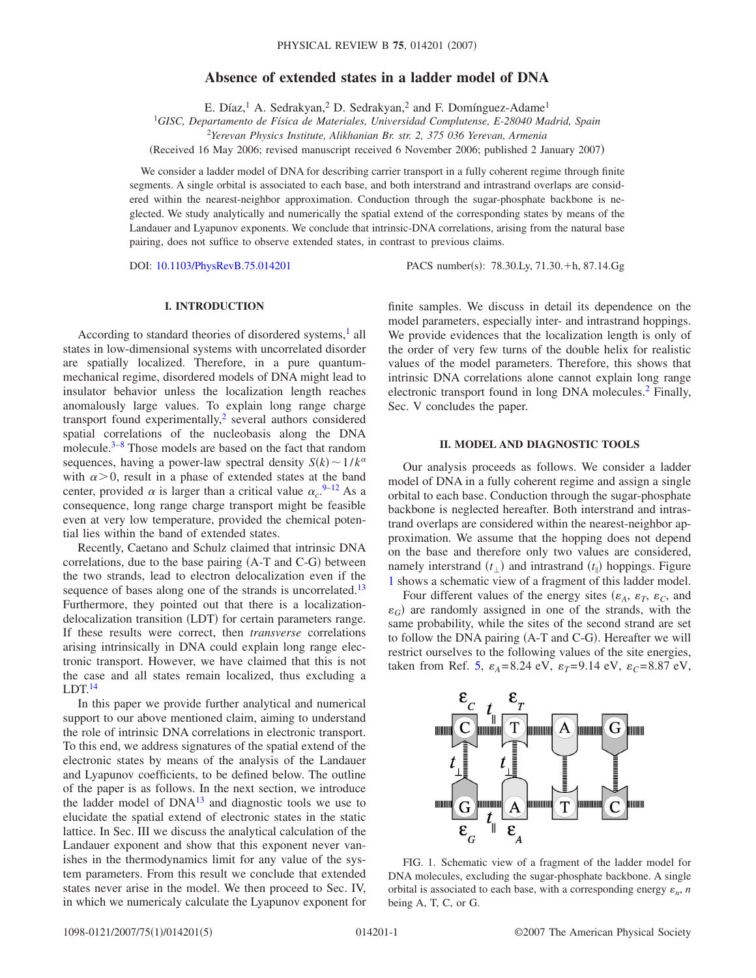# **Absence of extended states in a ladder model of DNA**

E. Díaz, <sup>1</sup> A. Sedrakyan, <sup>2</sup> D. Sedrakyan, <sup>2</sup> and F. Domínguez-Adame<sup>1</sup>

1 *GISC, Departamento de Física de Materiales, Universidad Complutense, E-28040 Madrid, Spain*

<sup>2</sup>*Yerevan Physics Institute, Alikhanian Br. str. 2, 375 036 Yerevan, Armenia*

(Received 16 May 2006; revised manuscript received 6 November 2006; published 2 January 2007)

We consider a ladder model of DNA for describing carrier transport in a fully coherent regime through finite segments. A single orbital is associated to each base, and both interstrand and intrastrand overlaps are considered within the nearest-neighbor approximation. Conduction through the sugar-phosphate backbone is neglected. We study analytically and numerically the spatial extend of the corresponding states by means of the Landauer and Lyapunov exponents. We conclude that intrinsic-DNA correlations, arising from the natural base pairing, does not suffice to observe extended states, in contrast to previous claims.

DOI: [10.1103/PhysRevB.75.014201](http://dx.doi.org/10.1103/PhysRevB.75.014201)

PACS number(s): 78.30.Ly, 71.30.+h, 87.14.Gg

# **I. INTRODUCTION**

According to standard theories of disordered systems,<sup>1</sup> all states in low-dimensional systems with uncorrelated disorder are spatially localized. Therefore, in a pure quantummechanical regime, disordered models of DNA might lead to insulator behavior unless the localization length reaches anomalously large values. To explain long range charge transport found experimentally, $<sup>2</sup>$  several authors considered</sup> spatial correlations of the nucleobasis along the DNA molecule. $3-8$  $3-8$  Those models are based on the fact that random sequences, having a power-law spectral density  $S(k) \sim 1/k^{\alpha}$ with  $\alpha$  > 0, result in a phase of extended states at the band center, provided  $\alpha$  is larger than a critical value  $\alpha_c$ .<sup>[9–](#page-4-4)[12](#page-4-5)</sup> As a consequence, long range charge transport might be feasible even at very low temperature, provided the chemical potential lies within the band of extended states.

Recently, Caetano and Schulz claimed that intrinsic DNA correlations, due to the base pairing  $(A-T$  and  $C-G$ ) between the two strands, lead to electron delocalization even if the sequence of bases along one of the strands is uncorrelated.<sup>13</sup> Furthermore, they pointed out that there is a localizationdelocalization transition (LDT) for certain parameters range. If these results were correct, then *transverse* correlations arising intrinsically in DNA could explain long range electronic transport. However, we have claimed that this is not the case and all states remain localized, thus excluding a  $LDT<sup>14</sup>$ 

In this paper we provide further analytical and numerical support to our above mentioned claim, aiming to understand the role of intrinsic DNA correlations in electronic transport. To this end, we address signatures of the spatial extend of the electronic states by means of the analysis of the Landauer and Lyapunov coefficients, to be defined below. The outline of the paper is as follows. In the next section, we introduce the ladder model of  $DNA^{13}$  and diagnostic tools we use to elucidate the spatial extend of electronic states in the static lattice. In Sec. III we discuss the analytical calculation of the Landauer exponent and show that this exponent never vanishes in the thermodynamics limit for any value of the system parameters. From this result we conclude that extended states never arise in the model. We then proceed to Sec. IV, in which we numericaly calculate the Lyapunov exponent for

finite samples. We discuss in detail its dependence on the model parameters, especially inter- and intrastrand hoppings. We provide evidences that the localization length is only of the order of very few turns of the double helix for realistic values of the model parameters. Therefore, this shows that intrinsic DNA correlations alone cannot explain long range electronic transport found in long DNA molecules.<sup>2</sup> Finally, Sec. V concludes the paper.

#### **II. MODEL AND DIAGNOSTIC TOOLS**

Our analysis proceeds as follows. We consider a ladder model of DNA in a fully coherent regime and assign a single orbital to each base. Conduction through the sugar-phosphate backbone is neglected hereafter. Both interstrand and intrastrand overlaps are considered within the nearest-neighbor approximation. We assume that the hopping does not depend on the base and therefore only two values are considered, namely interstrand  $(t_{\perp})$  and intrastrand  $(t_{\parallel})$  hoppings. Figure [1](#page-0-0) shows a schematic view of a fragment of this ladder model.

Four different values of the energy sites  $(\varepsilon_A, \varepsilon_T, \varepsilon_C, \text{ and})$  $\varepsilon_G$ ) are randomly assigned in one of the strands, with the same probability, while the sites of the second strand are set to follow the DNA pairing (A-T and C-G). Hereafter we will restrict ourselves to the following values of the site energies, taken from Ref. [5,](#page-4-8)  $\varepsilon_A = 8.24$  eV,  $\varepsilon_T = 9.14$  eV,  $\varepsilon_C = 8.87$  eV,

<span id="page-0-0"></span>

FIG. 1. Schematic view of a fragment of the ladder model for DNA molecules, excluding the sugar-phosphate backbone. A single orbital is associated to each base, with a corresponding energy  $\varepsilon_n$ , *n* being A, T, C, or G.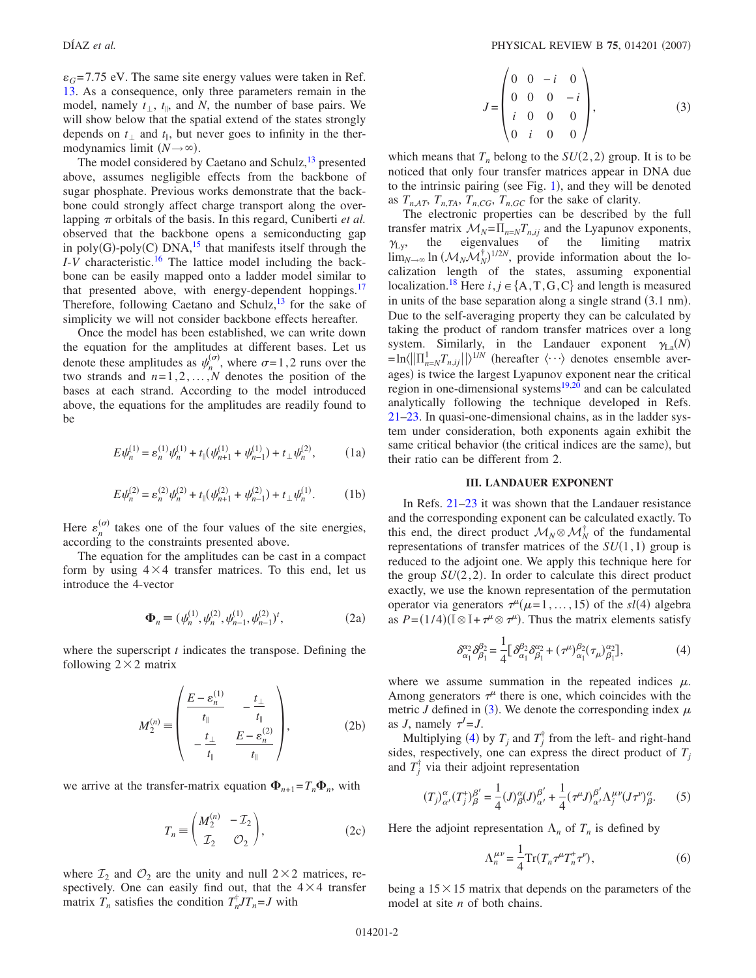$\varepsilon_G$ =7.75 eV. The same site energy values were taken in Ref. [13.](#page-4-6) As a consequence, only three parameters remain in the model, namely  $t_{\perp}$ ,  $t_{\parallel}$ , and *N*, the number of base pairs. We will show below that the spatial extend of the states strongly depends on  $t_{\perp}$  and  $t_{\parallel}$ , but never goes to infinity in the thermodynamics limit  $(N \rightarrow \infty)$ .

The model considered by Caetano and Schulz, $^{13}$  presented above, assumes negligible effects from the backbone of sugar phosphate. Previous works demonstrate that the backbone could strongly affect charge transport along the overlapping  $\pi$  orbitals of the basis. In this regard, Cuniberti *et al.* observed that the backbone opens a semiconducting gap in poly(G)-poly(C) DNA, $^{15}$  that manifests itself through the *I*-*V* characteristic[.16](#page-4-10) The lattice model including the backbone can be easily mapped onto a ladder model similar to that presented above, with energy-dependent hoppings.<sup>17</sup> Therefore, following Caetano and Schulz, $13$  for the sake of simplicity we will not consider backbone effects hereafter.

Once the model has been established, we can write down the equation for the amplitudes at different bases. Let us denote these amplitudes as  $\psi_n^{(\sigma)}$ , where  $\sigma = 1, 2$  runs over the two strands and *n*=1,2,...,*N* denotes the position of the bases at each strand. According to the model introduced above, the equations for the amplitudes are readily found to be

$$
E\psi_n^{(1)} = \varepsilon_n^{(1)}\psi_n^{(1)} + t_{\parallel}(\psi_{n+1}^{(1)} + \psi_{n-1}^{(1)}) + t_{\perp}\psi_n^{(2)},
$$
 (1a)

$$
E\psi_n^{(2)} = \varepsilon_n^{(2)}\psi_n^{(2)} + t_{\parallel}(\psi_{n+1}^{(2)} + \psi_{n-1}^{(2)}) + t_{\perp}\psi_n^{(1)}.
$$
 (1b)

Here  $\varepsilon_n^{(\sigma)}$  takes one of the four values of the site energies, according to the constraints presented above.

The equation for the amplitudes can be cast in a compact form by using  $4 \times 4$  transfer matrices. To this end, let us introduce the 4-vector

$$
\Phi_n \equiv (\psi_n^{(1)}, \psi_n^{(2)}, \psi_{n-1}^{(1)}, \psi_{n-1}^{(2)})^t,\tag{2a}
$$

where the superscript *t* indicates the transpose. Defining the following  $2 \times 2$  matrix

$$
M_2^{(n)} \equiv \begin{pmatrix} \frac{E - \varepsilon_n^{(1)}}{t_{\parallel}} & -\frac{t_{\perp}}{t_{\parallel}}\\ -\frac{t_{\perp}}{t_{\parallel}} & \frac{E - \varepsilon_n^{(2)}}{t_{\parallel}} \end{pmatrix},\tag{2b}
$$

we arrive at the transfer-matrix equation  $\Phi_{n+1} = T_n \Phi_n$ , with

$$
T_n \equiv \begin{pmatrix} M_2^{(n)} & -\mathcal{I}_2 \\ \mathcal{I}_2 & \mathcal{O}_2 \end{pmatrix},\tag{2c}
$$

where  $\mathcal{I}_2$  and  $\mathcal{O}_2$  are the unity and null  $2 \times 2$  matrices, respectively. One can easily find out, that the  $4 \times 4$  transfer matrix  $T_n$  satisfies the condition  $T_n^{\dagger} J T_n = J$  with

$$
J = \begin{pmatrix} 0 & 0 & -i & 0 \\ 0 & 0 & 0 & -i \\ i & 0 & 0 & 0 \\ 0 & i & 0 & 0 \end{pmatrix},
$$
 (3)

<span id="page-1-0"></span>which means that  $T_n$  belong to the  $SU(2, 2)$  group. It is to be noticed that only four transfer matrices appear in DNA due to the intrinsic pairing (see Fig.  $1$ ), and they will be denoted as  $T_{n,AT}$ ,  $T_{n,TA}$ ,  $T_{n,CG}$ ,  $T_{n,GC}$  for the sake of clarity.

The electronic properties can be described by the full transfer matrix  $M_N = \prod_{n=N} T_{n,ij}$  and the Lyapunov exponents,  $\gamma_{\rm Ly},$ the eigenvalues of the limiting matrix  $\lim_{N\to\infty}$  ln  $(\mathcal{M}_N \mathcal{M}_N^{\dagger})^{1/2N}$ , provide information about the localization length of the states, assuming exponential localization.<sup>18</sup> Here  $i, j \in \{A, T, G, C\}$  and length is measured in units of the base separation along a single strand (3.1 nm). Due to the self-averaging property they can be calculated by taking the product of random transfer matrices over a long system. Similarly, in the Landauer exponent  $\gamma_{L_a}(N) = \ln \langle ||\Pi_{n=N}^1 T_{n,ij}|| \rangle^{1/N}$  (hereafter  $\langle \cdots \rangle$  denotes ensemble averages) is twice the largest Lyapunov exponent near the critical region in one-dimensional systems<sup>19[,20](#page-4-14)</sup> and can be calculated analytically following the technique developed in Refs. [21](#page-4-15)[–23.](#page-4-16) In quasi-one-dimensional chains, as in the ladder system under consideration, both exponents again exhibit the same critical behavior (the critical indices are the same), but their ratio can be different from 2.

# **III. LANDAUER EXPONENT**

In Refs. [21–](#page-4-15)[23](#page-4-16) it was shown that the Landauer resistance and the corresponding exponent can be calculated exactly. To this end, the direct product  $\mathcal{M}_N \otimes \mathcal{M}_N^{\dagger}$  of the fundamental representations of transfer matrices of the  $SU(1,1)$  group is reduced to the adjoint one. We apply this technique here for the group  $SU(2, 2)$ . In order to calculate this direct product exactly, we use the known representation of the permutation operator via generators  $\tau^{\mu}(\mu=1,\ldots,15)$  of the *sl*(4) algebra as  $P = (1/4)(\mathbb{I} \otimes \mathbb{I} + \tau^{\mu} \otimes \tau^{\mu})$ . Thus the matrix elements satisfy

$$
\delta_{\alpha_1}^{\alpha_2} \delta_{\beta_1}^{\beta_2} = \frac{1}{4} \Big[ \delta_{\alpha_1}^{\beta_2} \delta_{\beta_1}^{\alpha_2} + (\tau^{\mu})_{\alpha_1}^{\beta_2} (\tau_{\mu})_{\beta_1}^{\alpha_2} \Big], \tag{4}
$$

<span id="page-1-1"></span>where we assume summation in the repeated indices  $\mu$ . Among generators  $\tau^{\mu}$  there is one, which coincides with the metric *J* defined in ([3](#page-1-0)). We denote the corresponding index  $\mu$ as *J*, namely  $\tau^J = J$ .

Multiplying ([4](#page-1-1)) by  $T_j$  and  $T_j^{\dagger}$  from the left- and right-hand sides, respectively, one can express the direct product of  $T_j$ and  $T_j^{\dagger}$  via their adjoint representation

$$
(T_j)_{\alpha'}^{\alpha}(T_j^{\dagger})_{\beta}^{\beta'} = \frac{1}{4}(J)_{\beta}^{\alpha}(J)_{\alpha'}^{\beta'} + \frac{1}{4}(\tau^{\mu}J)_{\alpha'}^{\beta'}\Lambda_j^{\mu\nu}(J\tau^{\nu})_{\beta}^{\alpha}.
$$
 (5)

Here the adjoint representation  $\Lambda_n$  of  $T_n$  is defined by

$$
\Lambda_n^{\mu\nu} = \frac{1}{4} \operatorname{Tr} (T_n \tau^\mu T_n^+ \tau^\nu),\tag{6}
$$

being a  $15 \times 15$  matrix that depends on the parameters of the model at site *n* of both chains.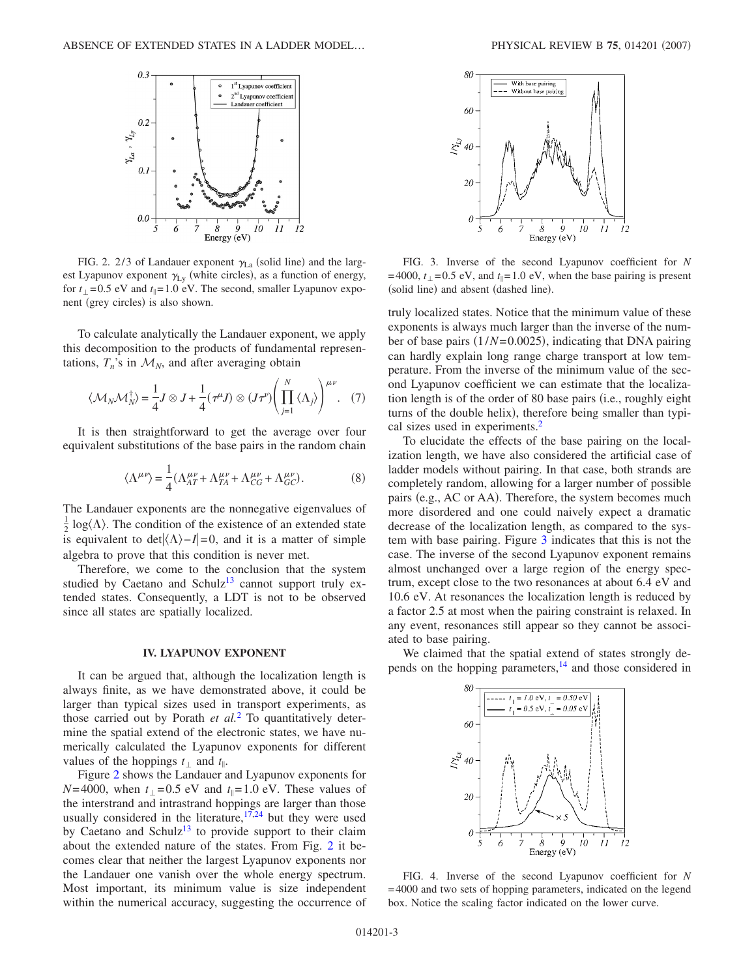<span id="page-2-0"></span>

FIG. 2. 2/3 of Landauer exponent  $\gamma_{La}$  (solid line) and the largest Lyapunov exponent  $\gamma_{Ly}$  (white circles), as a function of energy, for  $t_1 = 0.5$  eV and  $t_1 = 1.0$  eV. The second, smaller Lyapunov exponent (grey circles) is also shown.

To calculate analytically the Landauer exponent, we apply this decomposition to the products of fundamental representations,  $T_n$ 's in  $\mathcal{M}_N$ , and after averaging obtain

$$
\langle \mathcal{M}_N \mathcal{M}_N^{\dagger} \rangle = \frac{1}{4} J \otimes J + \frac{1}{4} (\tau^{\mu} J) \otimes (J \tau^{\nu}) \left( \prod_{j=1}^N \langle \Lambda_j \rangle \right)^{\mu \nu} . \quad (7)
$$

It is then straightforward to get the average over four equivalent substitutions of the base pairs in the random chain

$$
\langle \Lambda^{\mu\nu} \rangle = \frac{1}{4} (\Lambda^{\mu\nu}_{AT} + \Lambda^{\mu\nu}_{TA} + \Lambda^{\mu\nu}_{CG} + \Lambda^{\mu\nu}_{GC}). \tag{8}
$$

The Landauer exponents are the nonnegative eigenvalues of  $\frac{1}{2}$  log( $\Lambda$ ). The condition of the existence of an extended state is equivalent to  $det|\langle \Lambda \rangle - I| = 0$ , and it is a matter of simple algebra to prove that this condition is never met.

Therefore, we come to the conclusion that the system studied by Caetano and Schulz<sup>13</sup> cannot support truly extended states. Consequently, a LDT is not to be observed since all states are spatially localized.

# **IV. LYAPUNOV EXPONENT**

It can be argued that, although the localization length is always finite, as we have demonstrated above, it could be larger than typical sizes used in transport experiments, as those carried out by Porath *et al.*[2](#page-4-1) To quantitatively determine the spatial extend of the electronic states, we have numerically calculated the Lyapunov exponents for different values of the hoppings  $t_{\perp}$  and  $t_{\parallel}$ .

Figure [2](#page-2-0) shows the Landauer and Lyapunov exponents for  $N=4000$ , when  $t_1=0.5$  eV and  $t_1=1.0$  eV. These values of the interstrand and intrastrand hoppings are larger than those usually considered in the literature, $17,24$  $17,24$  but they were used by Caetano and Schulz<sup>13</sup> to provide support to their claim about the extended nature of the states. From Fig. [2](#page-2-0) it becomes clear that neither the largest Lyapunov exponents nor the Landauer one vanish over the whole energy spectrum. Most important, its minimum value is size independent within the numerical accuracy, suggesting the occurrence of

<span id="page-2-1"></span>

FIG. 3. Inverse of the second Lyapunov coefficient for *N* =4000,  $t_{\perp}$ =0.5 eV, and  $t_{\parallel}$ =1.0 eV, when the base pairing is present (solid line) and absent (dashed line).

truly localized states. Notice that the minimum value of these exponents is always much larger than the inverse of the number of base pairs (1/*N*=0.0025), indicating that DNA pairing can hardly explain long range charge transport at low temperature. From the inverse of the minimum value of the second Lyapunov coefficient we can estimate that the localization length is of the order of 80 base pairs (i.e., roughly eight turns of the double helix), therefore being smaller than typical sizes used in experiments.<sup>2</sup>

To elucidate the effects of the base pairing on the localization length, we have also considered the artificial case of ladder models without pairing. In that case, both strands are completely random, allowing for a larger number of possible pairs (e.g., AC or AA). Therefore, the system becomes much more disordered and one could naively expect a dramatic decrease of the localization length, as compared to the system with base pairing. Figure [3](#page-2-1) indicates that this is not the case. The inverse of the second Lyapunov exponent remains almost unchanged over a large region of the energy spectrum, except close to the two resonances at about 6.4 eV and 10.6 eV. At resonances the localization length is reduced by a factor 2.5 at most when the pairing constraint is relaxed. In any event, resonances still appear so they cannot be associated to base pairing.

<span id="page-2-2"></span>We claimed that the spatial extend of states strongly depends on the hopping parameters, <sup>14</sup> and those considered in



FIG. 4. Inverse of the second Lyapunov coefficient for *N* =4000 and two sets of hopping parameters, indicated on the legend box. Notice the scaling factor indicated on the lower curve.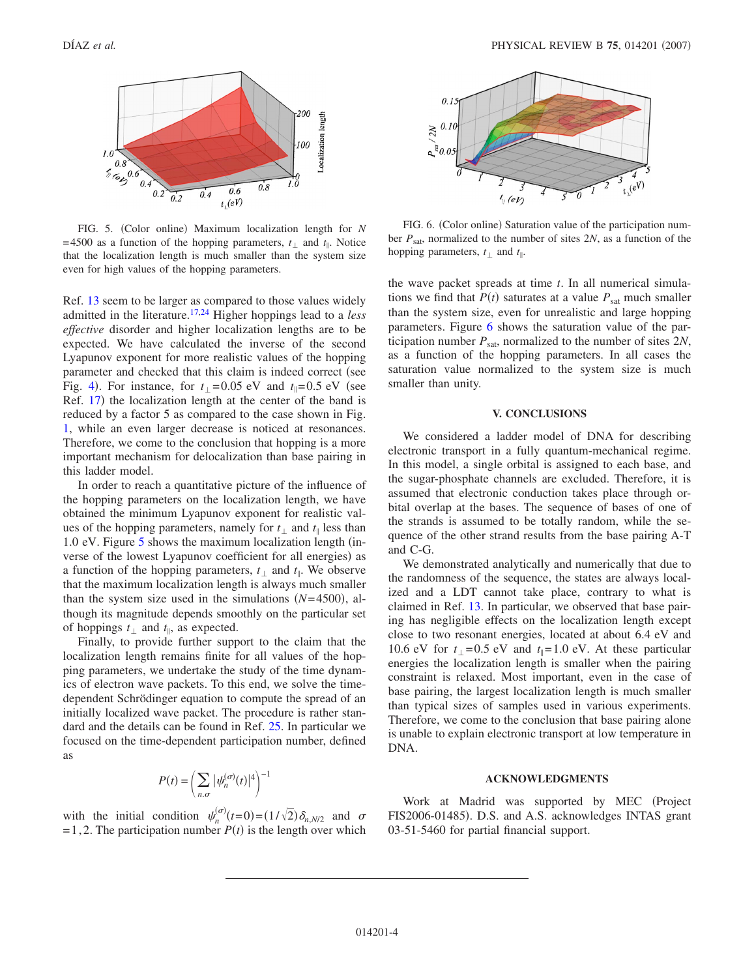<span id="page-3-0"></span>

FIG. 5. (Color online) Maximum localization length for *N* =4500 as a function of the hopping parameters,  $t_{\perp}$  and  $t_{\parallel}$ . Notice that the localization length is much smaller than the system size even for high values of the hopping parameters.

Ref. [13](#page-4-6) seem to be larger as compared to those values widely admitted in the literature[.17,](#page-4-11)[24](#page-4-17) Higher hoppings lead to a *less effective* disorder and higher localization lengths are to be expected. We have calculated the inverse of the second Lyapunov exponent for more realistic values of the hopping parameter and checked that this claim is indeed correct (see Fig. [4](#page-2-2)). For instance, for  $t_{\perp} = 0.05$  eV and  $t_{\parallel} = 0.5$  eV (see Ref. [17](#page-4-11)) the localization length at the center of the band is reduced by a factor 5 as compared to the case shown in Fig. [1,](#page-0-0) while an even larger decrease is noticed at resonances. Therefore, we come to the conclusion that hopping is a more important mechanism for delocalization than base pairing in this ladder model.

In order to reach a quantitative picture of the influence of the hopping parameters on the localization length, we have obtained the minimum Lyapunov exponent for realistic values of the hopping parameters, namely for  $t_1$  and  $t_{\parallel}$  less than 1.0 eV. Figure  $5$  shows the maximum localization length (inverse of the lowest Lyapunov coefficient for all energies) as a function of the hopping parameters,  $t_{\perp}$  and  $t_{\parallel}$ . We observe that the maximum localization length is always much smaller than the system size used in the simulations  $(N=4500)$ , although its magnitude depends smoothly on the particular set of hoppings  $t_{\perp}$  and  $t_{\parallel}$ , as expected.

Finally, to provide further support to the claim that the localization length remains finite for all values of the hopping parameters, we undertake the study of the time dynamics of electron wave packets. To this end, we solve the timedependent Schrödinger equation to compute the spread of an initially localized wave packet. The procedure is rather standard and the details can be found in Ref. [25.](#page-4-18) In particular we focused on the time-dependent participation number, defined as

$$
P(t) = \left(\sum_{n,\sigma} |\psi_n^{(\sigma)}(t)|^4\right)^{-1}
$$

with the initial condition  $\psi_n^{(\sigma)}(t=0) = (1/\sqrt{2}) \delta_{n,N/2}$  and  $\sigma$  $=1,2$ . The participation number  $P(t)$  is the length over which

<span id="page-3-1"></span>

FIG. 6. (Color online) Saturation value of the participation number *P*sat, normalized to the number of sites 2*N*, as a function of the hopping parameters,  $t_1$  and  $t_{\parallel}$ .

the wave packet spreads at time *t*. In all numerical simulations we find that  $P(t)$  saturates at a value  $P_{\text{sat}}$  much smaller than the system size, even for unrealistic and large hopping parameters. Figure [6](#page-3-1) shows the saturation value of the participation number  $P_{\text{sat}}$ , normalized to the number of sites  $2N$ , as a function of the hopping parameters. In all cases the saturation value normalized to the system size is much smaller than unity.

#### **V. CONCLUSIONS**

We considered a ladder model of DNA for describing electronic transport in a fully quantum-mechanical regime. In this model, a single orbital is assigned to each base, and the sugar-phosphate channels are excluded. Therefore, it is assumed that electronic conduction takes place through orbital overlap at the bases. The sequence of bases of one of the strands is assumed to be totally random, while the sequence of the other strand results from the base pairing A-T and C-G.

We demonstrated analytically and numerically that due to the randomness of the sequence, the states are always localized and a LDT cannot take place, contrary to what is claimed in Ref. [13.](#page-4-6) In particular, we observed that base pairing has negligible effects on the localization length except close to two resonant energies, located at about 6.4 eV and 10.6 eV for  $t_1 = 0.5$  eV and  $t_1 = 1.0$  eV. At these particular energies the localization length is smaller when the pairing constraint is relaxed. Most important, even in the case of base pairing, the largest localization length is much smaller than typical sizes of samples used in various experiments. Therefore, we come to the conclusion that base pairing alone is unable to explain electronic transport at low temperature in DNA.

#### **ACKNOWLEDGMENTS**

Work at Madrid was supported by MEC (Project FIS2006-01485). D.S. and A.S. acknowledges INTAS grant 03-51-5460 for partial financial support.